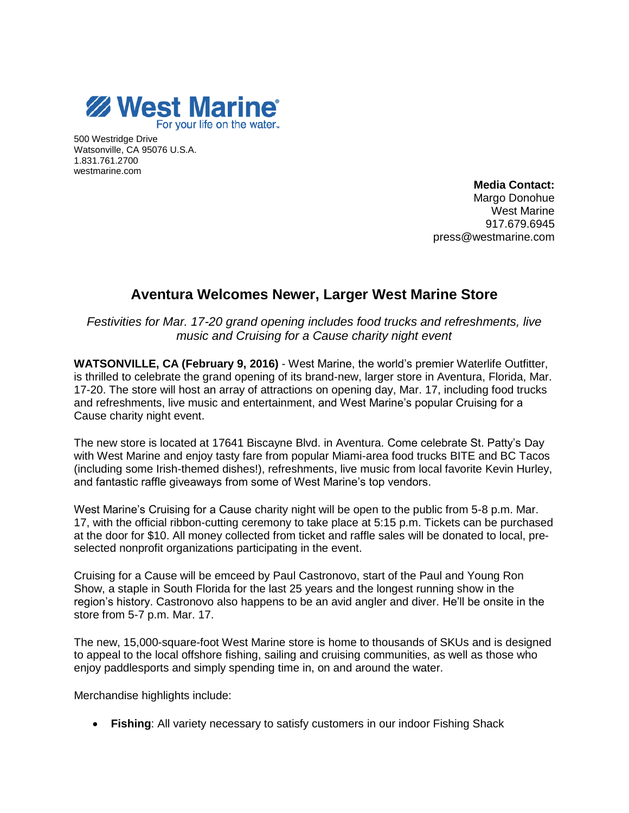

500 Westridge Drive Watsonville, CA 95076 U.S.A. 1.831.761.2700 westmarine.com

> **Media Contact:**  Margo Donohue West Marine 917.679.6945 press@westmarine.com

## **Aventura Welcomes Newer, Larger West Marine Store**

*Festivities for Mar. 17-20 grand opening includes food trucks and refreshments, live music and Cruising for a Cause charity night event*

**WATSONVILLE, CA (February 9, 2016)** - West Marine, the world's premier Waterlife Outfitter, is thrilled to celebrate the grand opening of its brand-new, larger store in Aventura, Florida, Mar. 17-20. The store will host an array of attractions on opening day, Mar. 17, including food trucks and refreshments, live music and entertainment, and West Marine's popular Cruising for a Cause charity night event.

The new store is located at 17641 Biscayne Blvd. in Aventura. Come celebrate St. Patty's Day with West Marine and enjoy tasty fare from popular Miami-area food trucks BITE and BC Tacos (including some Irish-themed dishes!), refreshments, live music from local favorite Kevin Hurley, and fantastic raffle giveaways from some of West Marine's top vendors.

West Marine's Cruising for a Cause charity night will be open to the public from 5-8 p.m. Mar. 17, with the official ribbon-cutting ceremony to take place at 5:15 p.m. Tickets can be purchased at the door for \$10. All money collected from ticket and raffle sales will be donated to local, preselected nonprofit organizations participating in the event.

Cruising for a Cause will be emceed by Paul Castronovo, start of the Paul and Young Ron Show, a staple in South Florida for the last 25 years and the longest running show in the region's history. Castronovo also happens to be an avid angler and diver. He'll be onsite in the store from 5-7 p.m. Mar. 17.

The new, 15,000-square-foot West Marine store is home to thousands of SKUs and is designed to appeal to the local offshore fishing, sailing and cruising communities, as well as those who enjoy paddlesports and simply spending time in, on and around the water.

Merchandise highlights include:

**Fishing**: All variety necessary to satisfy customers in our indoor Fishing Shack